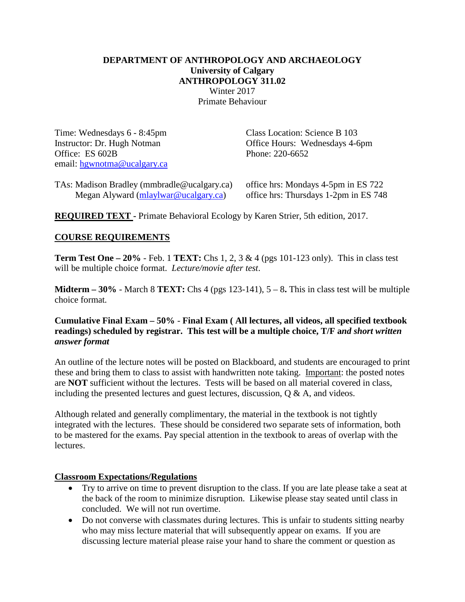### **DEPARTMENT OF ANTHROPOLOGY AND ARCHAEOLOGY University of Calgary ANTHROPOLOGY 311.02** Winter 2017 Primate Behaviour

Time: Wednesdays 6 - 8:45pm<br>
Instructor: Dr. Hugh Notman<br>
Office Hours: Wednesdays 4-6 Office: ES 602B Phone: 220-6652 email: [hgwnotma@ucalgary.ca](mailto:hgwnotma@ucalgary.ca)

Office Hours: Wednesdays 4-6pm

| TAs: Madison Bradley (mmbradle@ucalgary.ca) |
|---------------------------------------------|
| Megan Alyward (mlaylwar@ucalgary.ca)        |

office hrs: Mondays 4-5pm in ES 722 office hrs: Thursdays 1-2pm in ES 748

**REQUIRED TEXT -** Primate Behavioral Ecology by Karen Strier, 5th edition, 2017.

# **COURSE REQUIREMENTS**

**Term Test One – 20%** - Feb. 1 **TEXT:** Chs 1, 2, 3 & 4 (pgs 101-123 only). This in class test will be multiple choice format. *Lecture/movie after test*.

**Midterm – 30%** - March 8 **TEXT:** Chs 4 (pgs 123-141), 5 – 8**.** This in class test will be multiple choice format*.*

# **Cumulative Final Exam – 50%** - **Final Exam ( All lectures, all videos, all specified textbook readings) scheduled by registrar. This test will be a multiple choice, T/F a***nd short written answer format*

An outline of the lecture notes will be posted on Blackboard, and students are encouraged to print these and bring them to class to assist with handwritten note taking. Important: the posted notes are **NOT** sufficient without the lectures. Tests will be based on all material covered in class, including the presented lectures and guest lectures, discussion,  $\hat{O} \& A$ , and videos.

Although related and generally complimentary, the material in the textbook is not tightly integrated with the lectures. These should be considered two separate sets of information, both to be mastered for the exams. Pay special attention in the textbook to areas of overlap with the lectures.

### **Classroom Expectations/Regulations**

- Try to arrive on time to prevent disruption to the class. If you are late please take a seat at the back of the room to minimize disruption. Likewise please stay seated until class in concluded. We will not run overtime.
- Do not converse with classmates during lectures. This is unfair to students sitting nearby who may miss lecture material that will subsequently appear on exams. If you are discussing lecture material please raise your hand to share the comment or question as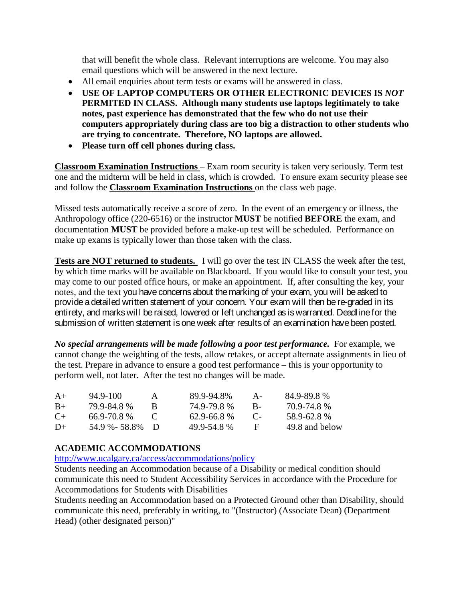that will benefit the whole class. Relevant interruptions are welcome. You may also email questions which will be answered in the next lecture.

- All email enquiries about term tests or exams will be answered in class.
- **USE OF LAPTOP COMPUTERS OR OTHER ELECTRONIC DEVICES IS** *NOT* **PERMITED IN CLASS. Although many students use laptops legitimately to take notes, past experience has demonstrated that the few who do not use their computers appropriately during class are too big a distraction to other students who are trying to concentrate. Therefore, NO laptops are allowed.**
- **Please turn off cell phones during class.**

**Classroom Examination Instructions** – Exam room security is taken very seriously. Term test one and the midterm will be held in class, which is crowded. To ensure exam security please see and follow the **Classroom Examination Instructions** on the class web page.

Missed tests automatically receive a score of zero. In the event of an emergency or illness, the Anthropology office (220-6516) or the instructor **MUST** be notified **BEFORE** the exam, and documentation **MUST** be provided before a make-up test will be scheduled. Performance on make up exams is typically lower than those taken with the class.

**Tests are NOT returned to students.** I will go over the test IN CLASS the week after the test, by which time marks will be available on Blackboard. If you would like to consult your test, you may come to our posted office hours, or make an appointment. If, after consulting the key, your notes, and the text you have concerns about the marking of your exam, you will be asked to provide a detailed written statement of your concern. Your exam will then be re-graded in its entirety, and marks will be raised, lowered or left unchanged as is warranted. Deadline for the submission of written statement is one week after results of an examination have been posted.

*No special arrangements will be made following a poor test performance.* For example, we cannot change the weighting of the tests, allow retakes, or accept alternate assignments in lieu of the test. Prepare in advance to ensure a good test performance – this is your opportunity to perform well, not later. After the test no changes will be made.

| $A+$  | 94.9-100        | А      | 89.9-94.8%      | $A -$           | 84.9-89.8%     |
|-------|-----------------|--------|-----------------|-----------------|----------------|
| $B+$  | 79.9-84.8%      |        | 749-798%        | $B -$           | 70.9-74.8%     |
| $($ + | $66.9 - 70.8$ % |        | $62.9 - 66.8$ % | $\mathcal{C}$ – | 58.9-62.8%     |
| $D+$  | 54.9 % - 58.8%  | $\Box$ | 49.9-54.8%      | <b>H</b>        | 49.8 and below |

# **ACADEMIC ACCOMMODATIONS**

<http://www.ucalgary.ca/access/accommodations/policy>

Students needing an Accommodation because of a Disability or medical condition should communicate this need to Student Accessibility Services in accordance with the Procedure for Accommodations for Students with Disabilities

Students needing an Accommodation based on a Protected Ground other than Disability, should communicate this need, preferably in writing, to "(Instructor) (Associate Dean) (Department Head) (other designated person)"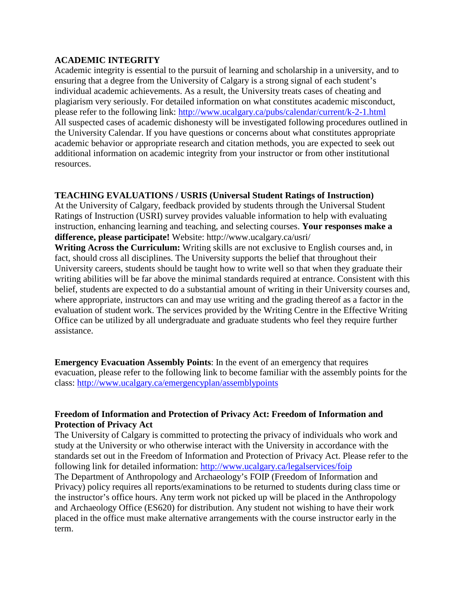# **ACADEMIC INTEGRITY**

Academic integrity is essential to the pursuit of learning and scholarship in a university, and to ensuring that a degree from the University of Calgary is a strong signal of each student's individual academic achievements. As a result, the University treats cases of cheating and plagiarism very seriously. For detailed information on what constitutes academic misconduct, please refer to the following link:<http://www.ucalgary.ca/pubs/calendar/current/k-2-1.html> All suspected cases of academic dishonesty will be investigated following procedures outlined in the University Calendar. If you have questions or concerns about what constitutes appropriate academic behavior or appropriate research and citation methods, you are expected to seek out additional information on academic integrity from your instructor or from other institutional resources.

# **TEACHING EVALUATIONS / USRIS (Universal Student Ratings of Instruction)**

At the University of Calgary, feedback provided by students through the Universal Student Ratings of Instruction (USRI) survey provides valuable information to help with evaluating instruction, enhancing learning and teaching, and selecting courses. **Your responses make a difference, please participate!** Website: http://www.ucalgary.ca/usri/

**Writing Across the Curriculum:** Writing skills are not exclusive to English courses and, in fact, should cross all disciplines. The University supports the belief that throughout their University careers, students should be taught how to write well so that when they graduate their writing abilities will be far above the minimal standards required at entrance. Consistent with this belief, students are expected to do a substantial amount of writing in their University courses and, where appropriate, instructors can and may use writing and the grading thereof as a factor in the evaluation of student work. The services provided by the Writing Centre in the Effective Writing Office can be utilized by all undergraduate and graduate students who feel they require further assistance.

**Emergency Evacuation Assembly Points**: In the event of an emergency that requires evacuation, please refer to the following link to become familiar with the assembly points for the class:<http://www.ucalgary.ca/emergencyplan/assemblypoints>

# **Freedom of Information and Protection of Privacy Act: Freedom of Information and Protection of Privacy Act**

The University of Calgary is committed to protecting the privacy of individuals who work and study at the University or who otherwise interact with the University in accordance with the standards set out in the Freedom of Information and Protection of Privacy Act. Please refer to the following link for detailed information: <http://www.ucalgary.ca/legalservices/foip> The Department of Anthropology and Archaeology's FOIP (Freedom of Information and Privacy) policy requires all reports/examinations to be returned to students during class time or the instructor's office hours. Any term work not picked up will be placed in the Anthropology and Archaeology Office (ES620) for distribution. Any student not wishing to have their work placed in the office must make alternative arrangements with the course instructor early in the term.